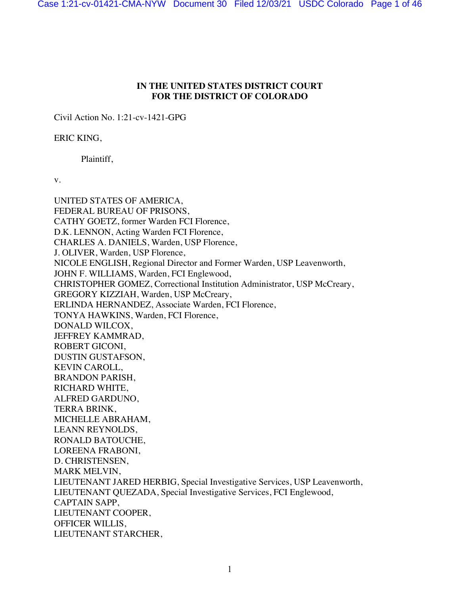Case 1:21-cv-01421-CMA-NYW Document 30 Filed 12/03/21 USDC Colorado Page 1 of 46

## **IN THE UNITED STATES DISTRICT COURT FOR THE DISTRICT OF COLORADO**

Civil Action No. 1:21-cv-1421-GPG

ERIC KING,

Plaintiff,

v.

UNITED STATES OF AMERICA, FEDERAL BUREAU OF PRISONS, CATHY GOETZ, former Warden FCI Florence, D.K. LENNON, Acting Warden FCI Florence, CHARLES A. DANIELS, Warden, USP Florence, J. OLIVER, Warden, USP Florence, NICOLE ENGLISH, Regional Director and Former Warden, USP Leavenworth, JOHN F. WILLIAMS, Warden, FCI Englewood, CHRISTOPHER GOMEZ, Correctional Institution Administrator, USP McCreary, GREGORY KIZZIAH, Warden, USP McCreary, ERLINDA HERNANDEZ, Associate Warden, FCI Florence, TONYA HAWKINS, Warden, FCI Florence, DONALD WILCOX, JEFFREY KAMMRAD, ROBERT GICONI, DUSTIN GUSTAFSON, KEVIN CAROLL, BRANDON PARISH, RICHARD WHITE, ALFRED GARDUNO, TERRA BRINK, MICHELLE ABRAHAM, LEANN REYNOLDS, RONALD BATOUCHE, LOREENA FRABONI, D. CHRISTENSEN, MARK MELVIN, LIEUTENANT JARED HERBIG, Special Investigative Services, USP Leavenworth, LIEUTENANT QUEZADA, Special Investigative Services, FCI Englewood, CAPTAIN SAPP, LIEUTENANT COOPER, OFFICER WILLIS, LIEUTENANT STARCHER,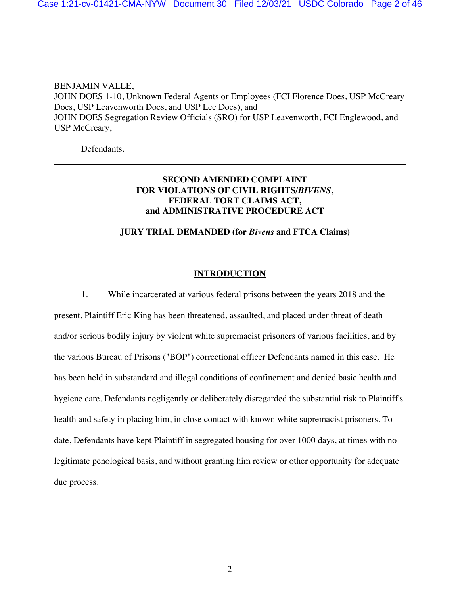BENJAMIN VALLE, JOHN DOES 1-10, Unknown Federal Agents or Employees (FCI Florence Does, USP McCreary Does, USP Leavenworth Does, and USP Lee Does), and JOHN DOES Segregation Review Officials (SRO) for USP Leavenworth, FCI Englewood, and USP McCreary,

Defendants.

# **SECOND AMENDED COMPLAINT FOR VIOLATIONS OF CIVIL RIGHTS/***BIVENS***, FEDERAL TORT CLAIMS ACT, and ADMINISTRATIVE PROCEDURE ACT**

### **JURY TRIAL DEMANDED (for** *Bivens* **and FTCA Claims)**

### **INTRODUCTION**

1. While incarcerated at various federal prisons between the years 2018 and the present, Plaintiff Eric King has been threatened, assaulted, and placed under threat of death and/or serious bodily injury by violent white supremacist prisoners of various facilities, and by the various Bureau of Prisons ("BOP") correctional officer Defendants named in this case. He has been held in substandard and illegal conditions of confinement and denied basic health and hygiene care. Defendants negligently or deliberately disregarded the substantial risk to Plaintiff's health and safety in placing him, in close contact with known white supremacist prisoners. To date, Defendants have kept Plaintiff in segregated housing for over 1000 days, at times with no legitimate penological basis, and without granting him review or other opportunity for adequate due process.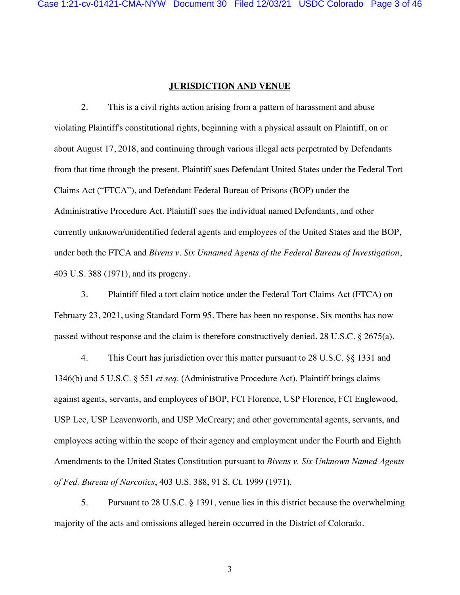### **JURISDICTION AND VENUE**

2. This is a civil rights action arising from a pattern of harassment and abuse violating Plaintiff's constitutional rights, beginning with a physical assault on Plaintiff, on or about August 17, 2018, and continuing through various illegal acts perpetrated by Defendants from that time through the present. Plaintiff sues Defendant United States under the Federal Tort Claims Act ("FTCA"), and Defendant Federal Bureau of Prisons (BOP) under the Administrative Procedure Act. Plaintiff sues the individual named Defendants, and other currently unknown/unidentified federal agents and employees of the United States and the BOP, under both the FTCA and *Bivens v. Six Unnamed Agents of the Federal Bureau of Investigation*, 403 U.S. 388 (1971), and its progeny.

3. Plaintiff filed a tort claim notice under the Federal Tort Claims Act (FTCA) on February 23, 2021, using Standard Form 95. There has been no response. Six months has now passed without response and the claim is therefore constructively denied. 28 U.S.C. § 2675(a).

4. This Court has jurisdiction over this matter pursuant to 28 U.S.C. §§ 1331 and 1346(b) and 5 U.S.C. § 551 *et seq*. (Administrative Procedure Act). Plaintiff brings claims against agents, servants, and employees of BOP, FCI Florence, USP Florence, FCI Englewood, USP Lee, USP Leavenworth, and USP McCreary; and other governmental agents, servants, and employees acting within the scope of their agency and employment under the Fourth and Eighth Amendments to the United States Constitution pursuant to *Bivens v. Six Unknown Named Agents of Fed. Bureau of Narcotics*, 403 U.S. 388, 91 S. Ct. 1999 (1971).

5. Pursuant to 28 U.S.C. § 1391, venue lies in this district because the overwhelming majority of the acts and omissions alleged herein occurred in the District of Colorado.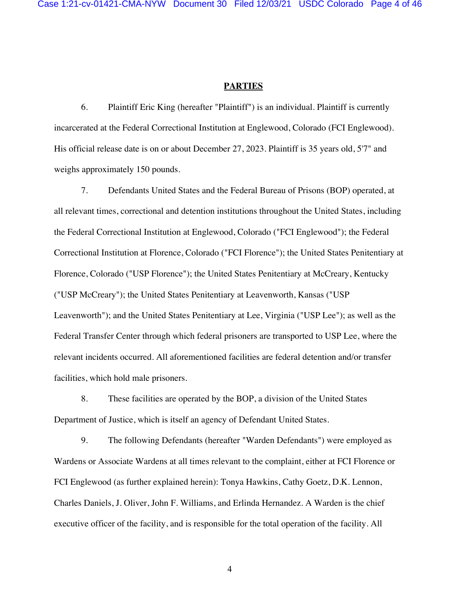### **PARTIES**

6. Plaintiff Eric King (hereafter "Plaintiff") is an individual. Plaintiff is currently incarcerated at the Federal Correctional Institution at Englewood, Colorado (FCI Englewood). His official release date is on or about December 27, 2023. Plaintiff is 35 years old, 5'7" and weighs approximately 150 pounds.

7. Defendants United States and the Federal Bureau of Prisons (BOP) operated, at all relevant times, correctional and detention institutions throughout the United States, including the Federal Correctional Institution at Englewood, Colorado ("FCI Englewood"); the Federal Correctional Institution at Florence, Colorado ("FCI Florence"); the United States Penitentiary at Florence, Colorado ("USP Florence"); the United States Penitentiary at McCreary, Kentucky ("USP McCreary"); the United States Penitentiary at Leavenworth, Kansas ("USP Leavenworth"); and the United States Penitentiary at Lee, Virginia ("USP Lee"); as well as the Federal Transfer Center through which federal prisoners are transported to USP Lee, where the relevant incidents occurred. All aforementioned facilities are federal detention and/or transfer facilities, which hold male prisoners.

8. These facilities are operated by the BOP, a division of the United States Department of Justice, which is itself an agency of Defendant United States.

9. The following Defendants (hereafter "Warden Defendants") were employed as Wardens or Associate Wardens at all times relevant to the complaint, either at FCI Florence or FCI Englewood (as further explained herein): Tonya Hawkins, Cathy Goetz, D.K. Lennon, Charles Daniels, J. Oliver, John F. Williams, and Erlinda Hernandez. A Warden is the chief executive officer of the facility, and is responsible for the total operation of the facility. All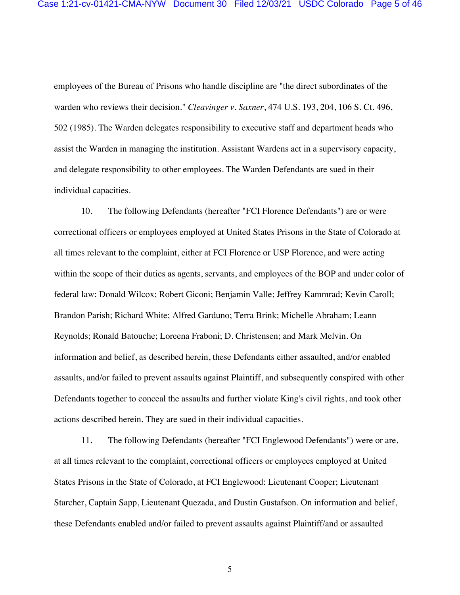employees of the Bureau of Prisons who handle discipline are "the direct subordinates of the warden who reviews their decision." *Cleavinger v. Saxner*, 474 U.S. 193, 204, 106 S. Ct. 496, 502 (1985). The Warden delegates responsibility to executive staff and department heads who assist the Warden in managing the institution. Assistant Wardens act in a supervisory capacity, and delegate responsibility to other employees. The Warden Defendants are sued in their individual capacities.

10. The following Defendants (hereafter "FCI Florence Defendants") are or were correctional officers or employees employed at United States Prisons in the State of Colorado at all times relevant to the complaint, either at FCI Florence or USP Florence, and were acting within the scope of their duties as agents, servants, and employees of the BOP and under color of federal law: Donald Wilcox; Robert Giconi; Benjamin Valle; Jeffrey Kammrad; Kevin Caroll; Brandon Parish; Richard White; Alfred Garduno; Terra Brink; Michelle Abraham; Leann Reynolds; Ronald Batouche; Loreena Fraboni; D. Christensen; and Mark Melvin. On information and belief, as described herein, these Defendants either assaulted, and/or enabled assaults, and/or failed to prevent assaults against Plaintiff, and subsequently conspired with other Defendants together to conceal the assaults and further violate King's civil rights, and took other actions described herein. They are sued in their individual capacities.

11. The following Defendants (hereafter "FCI Englewood Defendants") were or are, at all times relevant to the complaint, correctional officers or employees employed at United States Prisons in the State of Colorado, at FCI Englewood: Lieutenant Cooper; Lieutenant Starcher, Captain Sapp, Lieutenant Quezada, and Dustin Gustafson. On information and belief, these Defendants enabled and/or failed to prevent assaults against Plaintiff/and or assaulted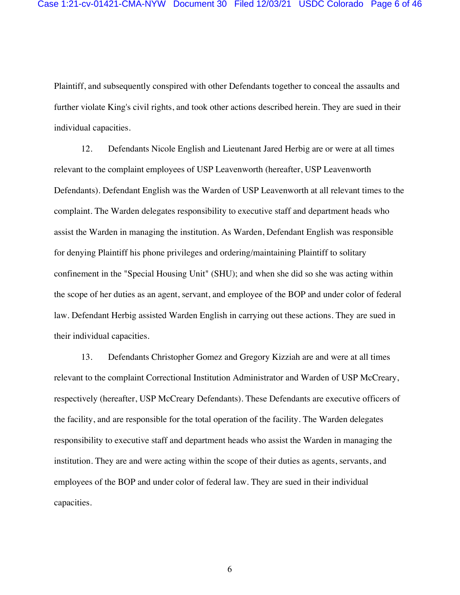Plaintiff, and subsequently conspired with other Defendants together to conceal the assaults and further violate King's civil rights, and took other actions described herein. They are sued in their individual capacities.

12. Defendants Nicole English and Lieutenant Jared Herbig are or were at all times relevant to the complaint employees of USP Leavenworth (hereafter, USP Leavenworth Defendants). Defendant English was the Warden of USP Leavenworth at all relevant times to the complaint. The Warden delegates responsibility to executive staff and department heads who assist the Warden in managing the institution. As Warden, Defendant English was responsible for denying Plaintiff his phone privileges and ordering/maintaining Plaintiff to solitary confinement in the "Special Housing Unit" (SHU); and when she did so she was acting within the scope of her duties as an agent, servant, and employee of the BOP and under color of federal law. Defendant Herbig assisted Warden English in carrying out these actions. They are sued in their individual capacities.

13. Defendants Christopher Gomez and Gregory Kizziah are and were at all times relevant to the complaint Correctional Institution Administrator and Warden of USP McCreary, respectively (hereafter, USP McCreary Defendants). These Defendants are executive officers of the facility, and are responsible for the total operation of the facility. The Warden delegates responsibility to executive staff and department heads who assist the Warden in managing the institution. They are and were acting within the scope of their duties as agents, servants, and employees of the BOP and under color of federal law. They are sued in their individual capacities.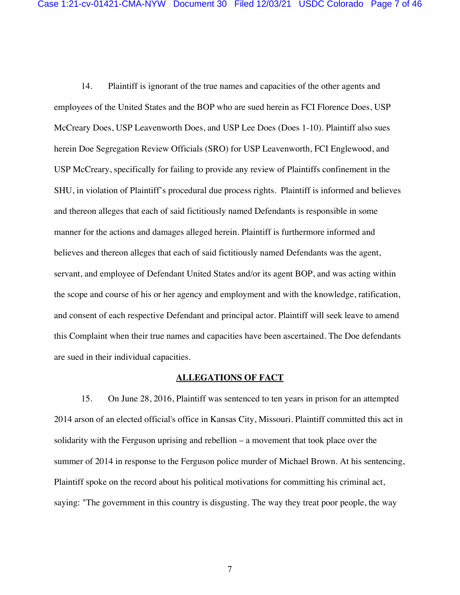14. Plaintiff is ignorant of the true names and capacities of the other agents and employees of the United States and the BOP who are sued herein as FCI Florence Does, USP McCreary Does, USP Leavenworth Does, and USP Lee Does (Does 1-10). Plaintiff also sues herein Doe Segregation Review Officials (SRO) for USP Leavenworth, FCI Englewood, and USP McCreary, specifically for failing to provide any review of Plaintiffs confinement in the SHU, in violation of Plaintiff's procedural due process rights. Plaintiff is informed and believes and thereon alleges that each of said fictitiously named Defendants is responsible in some manner for the actions and damages alleged herein. Plaintiff is furthermore informed and believes and thereon alleges that each of said fictitiously named Defendants was the agent, servant, and employee of Defendant United States and/or its agent BOP, and was acting within the scope and course of his or her agency and employment and with the knowledge, ratification, and consent of each respective Defendant and principal actor. Plaintiff will seek leave to amend this Complaint when their true names and capacities have been ascertained. The Doe defendants are sued in their individual capacities.

### **ALLEGATIONS OF FACT**

15. On June 28, 2016, Plaintiff was sentenced to ten years in prison for an attempted 2014 arson of an elected official's office in Kansas City, Missouri. Plaintiff committed this act in solidarity with the Ferguson uprising and rebellion – a movement that took place over the summer of 2014 in response to the Ferguson police murder of Michael Brown. At his sentencing, Plaintiff spoke on the record about his political motivations for committing his criminal act, saying: "The government in this country is disgusting. The way they treat poor people, the way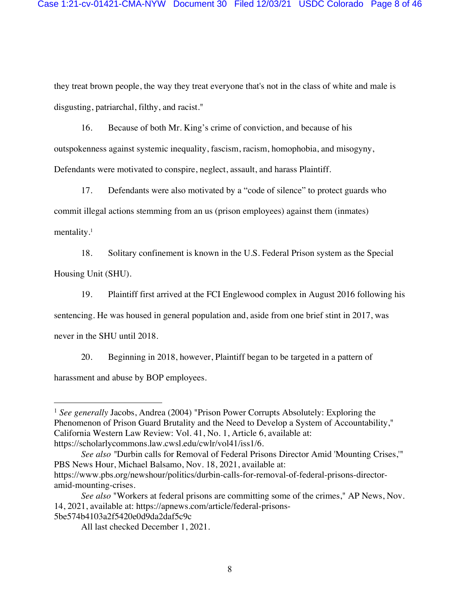they treat brown people, the way they treat everyone that's not in the class of white and male is disgusting, patriarchal, filthy, and racist."

16. Because of both Mr. King's crime of conviction, and because of his outspokenness against systemic inequality, fascism, racism, homophobia, and misogyny, Defendants were motivated to conspire, neglect, assault, and harass Plaintiff.

17. Defendants were also motivated by a "code of silence" to protect guards who commit illegal actions stemming from an us (prison employees) against them (inmates) mentality.<sup>1</sup>

18. Solitary confinement is known in the U.S. Federal Prison system as the Special Housing Unit (SHU).

19. Plaintiff first arrived at the FCI Englewood complex in August 2016 following his

sentencing. He was housed in general population and, aside from one brief stint in 2017, was

never in the SHU until 2018.

20. Beginning in 2018, however, Plaintiff began to be targeted in a pattern of harassment and abuse by BOP employees.

<sup>&</sup>lt;sup>1</sup> See generally Jacobs, Andrea (2004) "Prison Power Corrupts Absolutely: Exploring the Phenomenon of Prison Guard Brutality and the Need to Develop a System of Accountability," California Western Law Review: Vol. 41, No. 1, Article 6, available at: https://scholarlycommons.law.cwsl.edu/cwlr/vol41/iss1/6.

*See also "*Durbin calls for Removal of Federal Prisons Director Amid 'Mounting Crises,'" PBS News Hour, Michael Balsamo, Nov. 18, 2021, available at: https://www.pbs.org/newshour/politics/durbin-calls-for-removal-of-federal-prisons-directoramid-mounting-crises.

*See also* "Workers at federal prisons are committing some of the crimes," AP News, Nov. 14, 2021, available at: https://apnews.com/article/federal-prisons-5be574b4103a2f5420e0d9da2daf5c9c

All last checked December 1, 2021.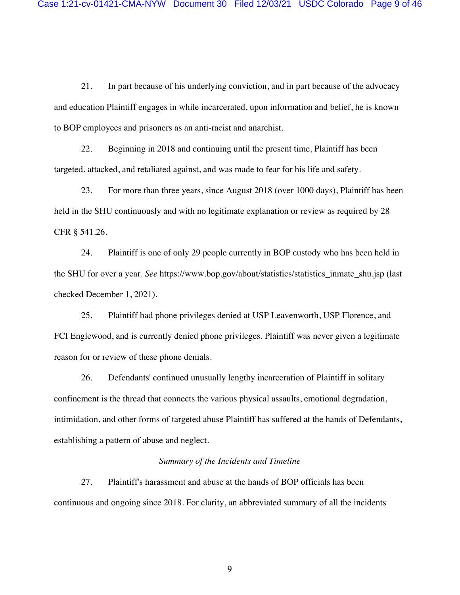21. In part because of his underlying conviction, and in part because of the advocacy and education Plaintiff engages in while incarcerated, upon information and belief, he is known to BOP employees and prisoners as an anti-racist and anarchist.

22. Beginning in 2018 and continuing until the present time, Plaintiff has been targeted, attacked, and retaliated against, and was made to fear for his life and safety.

23. For more than three years, since August 2018 (over 1000 days), Plaintiff has been held in the SHU continuously and with no legitimate explanation or review as required by 28 CFR § 541.26.

24. Plaintiff is one of only 29 people currently in BOP custody who has been held in the SHU for over a year. *See* https://www.bop.gov/about/statistics/statistics\_inmate\_shu.jsp (last checked December 1, 2021).

25. Plaintiff had phone privileges denied at USP Leavenworth, USP Florence, and FCI Englewood, and is currently denied phone privileges. Plaintiff was never given a legitimate reason for or review of these phone denials.

26. Defendants' continued unusually lengthy incarceration of Plaintiff in solitary confinement is the thread that connects the various physical assaults, emotional degradation, intimidation, and other forms of targeted abuse Plaintiff has suffered at the hands of Defendants, establishing a pattern of abuse and neglect.

### *Summary of the Incidents and Timeline*

27. Plaintiff's harassment and abuse at the hands of BOP officials has been continuous and ongoing since 2018. For clarity, an abbreviated summary of all the incidents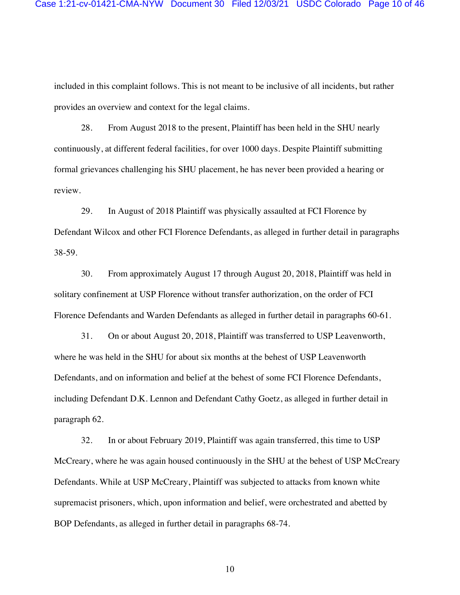included in this complaint follows. This is not meant to be inclusive of all incidents, but rather provides an overview and context for the legal claims.

28. From August 2018 to the present, Plaintiff has been held in the SHU nearly continuously, at different federal facilities, for over 1000 days. Despite Plaintiff submitting formal grievances challenging his SHU placement, he has never been provided a hearing or review.

29. In August of 2018 Plaintiff was physically assaulted at FCI Florence by Defendant Wilcox and other FCI Florence Defendants, as alleged in further detail in paragraphs 38-59.

30. From approximately August 17 through August 20, 2018, Plaintiff was held in solitary confinement at USP Florence without transfer authorization, on the order of FCI Florence Defendants and Warden Defendants as alleged in further detail in paragraphs 60-61.

31. On or about August 20, 2018, Plaintiff was transferred to USP Leavenworth, where he was held in the SHU for about six months at the behest of USP Leavenworth Defendants, and on information and belief at the behest of some FCI Florence Defendants, including Defendant D.K. Lennon and Defendant Cathy Goetz, as alleged in further detail in paragraph 62.

32. In or about February 2019, Plaintiff was again transferred, this time to USP McCreary, where he was again housed continuously in the SHU at the behest of USP McCreary Defendants. While at USP McCreary, Plaintiff was subjected to attacks from known white supremacist prisoners, which, upon information and belief, were orchestrated and abetted by BOP Defendants, as alleged in further detail in paragraphs 68-74.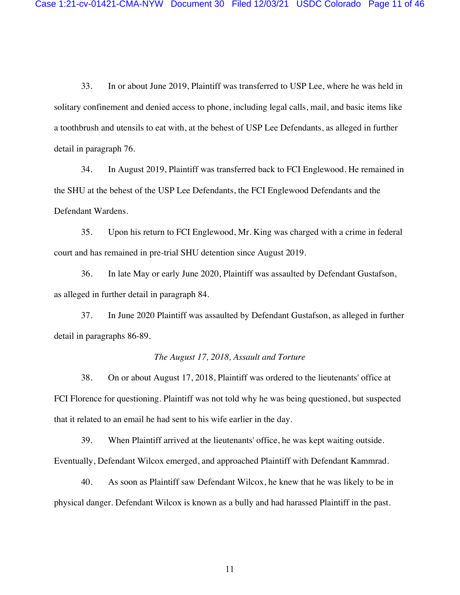33. In or about June 2019, Plaintiff was transferred to USP Lee, where he was held in solitary confinement and denied access to phone, including legal calls, mail, and basic items like a toothbrush and utensils to eat with, at the behest of USP Lee Defendants, as alleged in further detail in paragraph 76.

34. In August 2019, Plaintiff was transferred back to FCI Englewood. He remained in the SHU at the behest of the USP Lee Defendants, the FCI Englewood Defendants and the Defendant Wardens.

35. Upon his return to FCI Englewood, Mr. King was charged with a crime in federal court and has remained in pre-trial SHU detention since August 2019.

36. In late May or early June 2020, Plaintiff was assaulted by Defendant Gustafson, as alleged in further detail in paragraph 84.

37. In June 2020 Plaintiff was assaulted by Defendant Gustafson, as alleged in further detail in paragraphs 86-89.

### *The August 17, 2018, Assault and Torture*

38. On or about August 17, 2018, Plaintiff was ordered to the lieutenants' office at FCI Florence for questioning. Plaintiff was not told why he was being questioned, but suspected that it related to an email he had sent to his wife earlier in the day.

39. When Plaintiff arrived at the lieutenants' office, he was kept waiting outside. Eventually, Defendant Wilcox emerged, and approached Plaintiff with Defendant Kammrad.

40. As soon as Plaintiff saw Defendant Wilcox, he knew that he was likely to be in physical danger. Defendant Wilcox is known as a bully and had harassed Plaintiff in the past.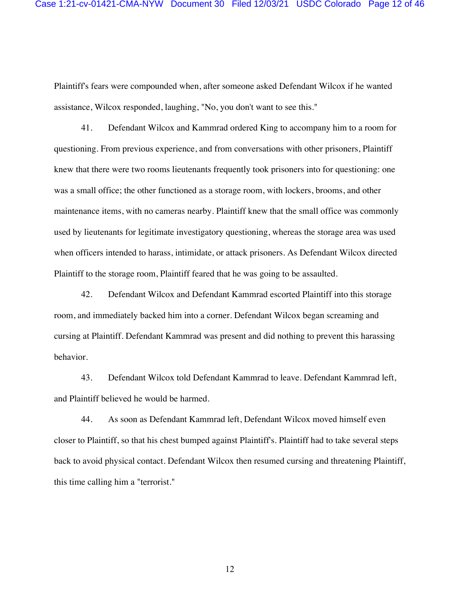Plaintiff's fears were compounded when, after someone asked Defendant Wilcox if he wanted assistance, Wilcox responded, laughing, "No, you don't want to see this."

41. Defendant Wilcox and Kammrad ordered King to accompany him to a room for questioning. From previous experience, and from conversations with other prisoners, Plaintiff knew that there were two rooms lieutenants frequently took prisoners into for questioning: one was a small office; the other functioned as a storage room, with lockers, brooms, and other maintenance items, with no cameras nearby. Plaintiff knew that the small office was commonly used by lieutenants for legitimate investigatory questioning, whereas the storage area was used when officers intended to harass, intimidate, or attack prisoners. As Defendant Wilcox directed Plaintiff to the storage room, Plaintiff feared that he was going to be assaulted.

42. Defendant Wilcox and Defendant Kammrad escorted Plaintiff into this storage room, and immediately backed him into a corner. Defendant Wilcox began screaming and cursing at Plaintiff. Defendant Kammrad was present and did nothing to prevent this harassing behavior.

43. Defendant Wilcox told Defendant Kammrad to leave. Defendant Kammrad left, and Plaintiff believed he would be harmed.

44. As soon as Defendant Kammrad left, Defendant Wilcox moved himself even closer to Plaintiff, so that his chest bumped against Plaintiff's. Plaintiff had to take several steps back to avoid physical contact. Defendant Wilcox then resumed cursing and threatening Plaintiff, this time calling him a "terrorist."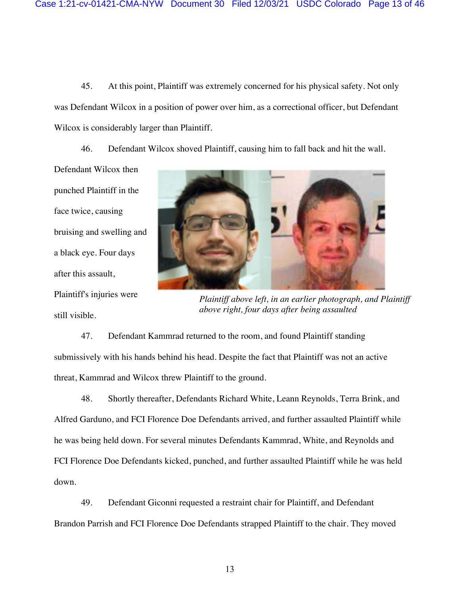45. At this point, Plaintiff was extremely concerned for his physical safety. Not only was Defendant Wilcox in a position of power over him, as a correctional officer, but Defendant Wilcox is considerably larger than Plaintiff.

46. Defendant Wilcox shoved Plaintiff, causing him to fall back and hit the wall.

Defendant Wilcox then punched Plaintiff in the face twice, causing bruising and swelling and a black eye. Four days after this assault, Plaintiff's injuries were still visible.



*Plaintiff above left, in an earlier photograph, and Plaintiff above right, four days after being assaulted* 

47. Defendant Kammrad returned to the room, and found Plaintiff standing submissively with his hands behind his head. Despite the fact that Plaintiff was not an active threat, Kammrad and Wilcox threw Plaintiff to the ground.

48. Shortly thereafter, Defendants Richard White, Leann Reynolds, Terra Brink, and Alfred Garduno, and FCI Florence Doe Defendants arrived, and further assaulted Plaintiff while he was being held down. For several minutes Defendants Kammrad, White, and Reynolds and FCI Florence Doe Defendants kicked, punched, and further assaulted Plaintiff while he was held down.

49. Defendant Giconni requested a restraint chair for Plaintiff, and Defendant Brandon Parrish and FCI Florence Doe Defendants strapped Plaintiff to the chair. They moved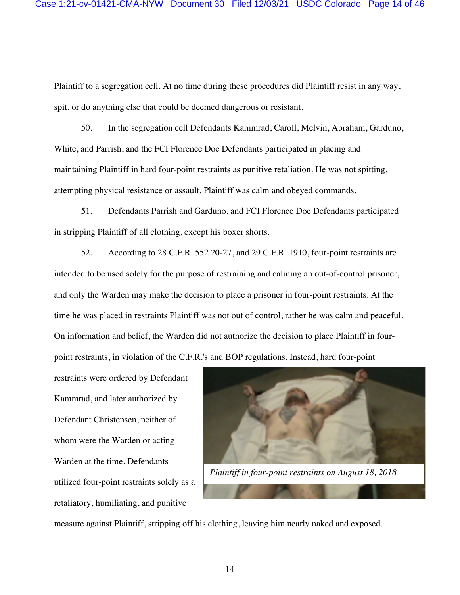Plaintiff to a segregation cell. At no time during these procedures did Plaintiff resist in any way, spit, or do anything else that could be deemed dangerous or resistant.

50. In the segregation cell Defendants Kammrad, Caroll, Melvin, Abraham, Garduno, White, and Parrish, and the FCI Florence Doe Defendants participated in placing and maintaining Plaintiff in hard four-point restraints as punitive retaliation. He was not spitting, attempting physical resistance or assault. Plaintiff was calm and obeyed commands.

51. Defendants Parrish and Garduno, and FCI Florence Doe Defendants participated in stripping Plaintiff of all clothing, except his boxer shorts.

52. According to 28 C.F.R. 552.20-27, and 29 C.F.R. 1910, four-point restraints are intended to be used solely for the purpose of restraining and calming an out-of-control prisoner, and only the Warden may make the decision to place a prisoner in four-point restraints. At the time he was placed in restraints Plaintiff was not out of control, rather he was calm and peaceful. On information and belief, the Warden did not authorize the decision to place Plaintiff in fourpoint restraints, in violation of the C.F.R.'s and BOP regulations. Instead, hard four-point

restraints were ordered by Defendant Kammrad, and later authorized by Defendant Christensen, neither of whom were the Warden or acting Warden at the time. Defendants utilized four-point restraints solely as a retaliatory, humiliating, and punitive



measure against Plaintiff, stripping off his clothing, leaving him nearly naked and exposed.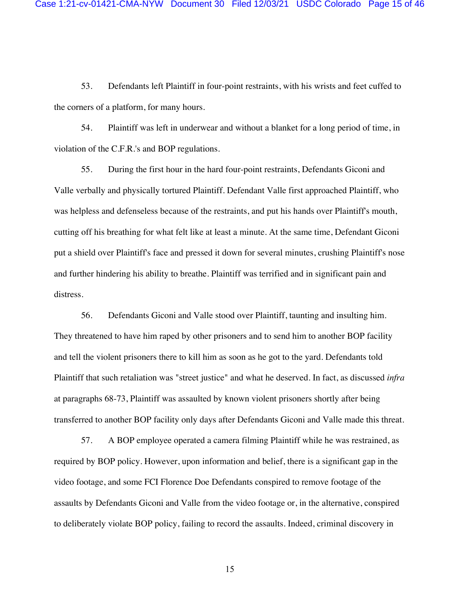53. Defendants left Plaintiff in four-point restraints, with his wrists and feet cuffed to the corners of a platform, for many hours.

54. Plaintiff was left in underwear and without a blanket for a long period of time, in violation of the C.F.R.'s and BOP regulations.

55. During the first hour in the hard four-point restraints, Defendants Giconi and Valle verbally and physically tortured Plaintiff. Defendant Valle first approached Plaintiff, who was helpless and defenseless because of the restraints, and put his hands over Plaintiff's mouth, cutting off his breathing for what felt like at least a minute. At the same time, Defendant Giconi put a shield over Plaintiff's face and pressed it down for several minutes, crushing Plaintiff's nose and further hindering his ability to breathe. Plaintiff was terrified and in significant pain and distress.

56. Defendants Giconi and Valle stood over Plaintiff, taunting and insulting him. They threatened to have him raped by other prisoners and to send him to another BOP facility and tell the violent prisoners there to kill him as soon as he got to the yard. Defendants told Plaintiff that such retaliation was "street justice" and what he deserved. In fact, as discussed *infra* at paragraphs 68-73, Plaintiff was assaulted by known violent prisoners shortly after being transferred to another BOP facility only days after Defendants Giconi and Valle made this threat.

57. A BOP employee operated a camera filming Plaintiff while he was restrained, as required by BOP policy. However, upon information and belief, there is a significant gap in the video footage, and some FCI Florence Doe Defendants conspired to remove footage of the assaults by Defendants Giconi and Valle from the video footage or, in the alternative, conspired to deliberately violate BOP policy, failing to record the assaults. Indeed, criminal discovery in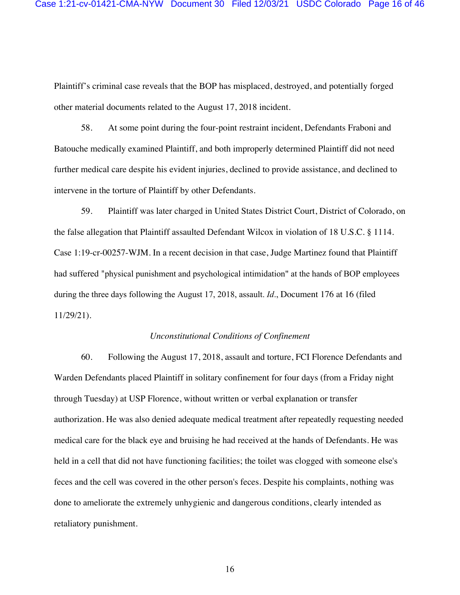Plaintiff's criminal case reveals that the BOP has misplaced, destroyed, and potentially forged other material documents related to the August 17, 2018 incident.

58. At some point during the four-point restraint incident, Defendants Fraboni and Batouche medically examined Plaintiff, and both improperly determined Plaintiff did not need further medical care despite his evident injuries, declined to provide assistance, and declined to intervene in the torture of Plaintiff by other Defendants.

59. Plaintiff was later charged in United States District Court, District of Colorado, on the false allegation that Plaintiff assaulted Defendant Wilcox in violation of 18 U.S.C. § 1114. Case 1:19-cr-00257-WJM. In a recent decision in that case, Judge Martinez found that Plaintiff had suffered "physical punishment and psychological intimidation" at the hands of BOP employees during the three days following the August 17, 2018, assault. *Id*., Document 176 at 16 (filed 11/29/21).

### *Unconstitutional Conditions of Confinement*

60. Following the August 17, 2018, assault and torture, FCI Florence Defendants and Warden Defendants placed Plaintiff in solitary confinement for four days (from a Friday night through Tuesday) at USP Florence, without written or verbal explanation or transfer authorization. He was also denied adequate medical treatment after repeatedly requesting needed medical care for the black eye and bruising he had received at the hands of Defendants. He was held in a cell that did not have functioning facilities; the toilet was clogged with someone else's feces and the cell was covered in the other person's feces. Despite his complaints, nothing was done to ameliorate the extremely unhygienic and dangerous conditions, clearly intended as retaliatory punishment.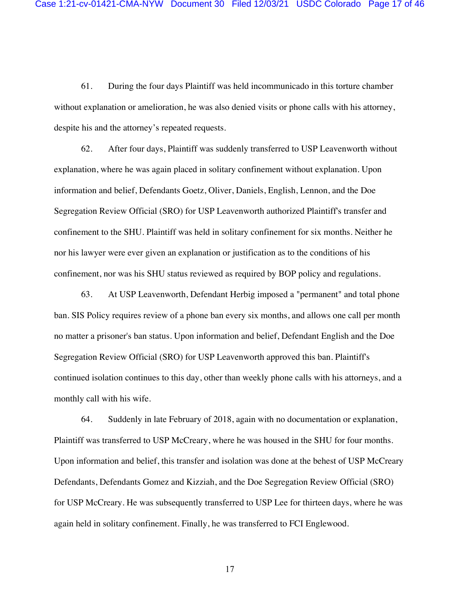61. During the four days Plaintiff was held incommunicado in this torture chamber without explanation or amelioration, he was also denied visits or phone calls with his attorney, despite his and the attorney's repeated requests.

62. After four days, Plaintiff was suddenly transferred to USP Leavenworth without explanation, where he was again placed in solitary confinement without explanation. Upon information and belief, Defendants Goetz, Oliver, Daniels, English, Lennon, and the Doe Segregation Review Official (SRO) for USP Leavenworth authorized Plaintiff's transfer and confinement to the SHU. Plaintiff was held in solitary confinement for six months. Neither he nor his lawyer were ever given an explanation or justification as to the conditions of his confinement, nor was his SHU status reviewed as required by BOP policy and regulations.

63. At USP Leavenworth, Defendant Herbig imposed a "permanent" and total phone ban. SIS Policy requires review of a phone ban every six months, and allows one call per month no matter a prisoner's ban status. Upon information and belief, Defendant English and the Doe Segregation Review Official (SRO) for USP Leavenworth approved this ban. Plaintiff's continued isolation continues to this day, other than weekly phone calls with his attorneys, and a monthly call with his wife.

64. Suddenly in late February of 2018, again with no documentation or explanation, Plaintiff was transferred to USP McCreary, where he was housed in the SHU for four months. Upon information and belief, this transfer and isolation was done at the behest of USP McCreary Defendants, Defendants Gomez and Kizziah, and the Doe Segregation Review Official (SRO) for USP McCreary. He was subsequently transferred to USP Lee for thirteen days, where he was again held in solitary confinement. Finally, he was transferred to FCI Englewood.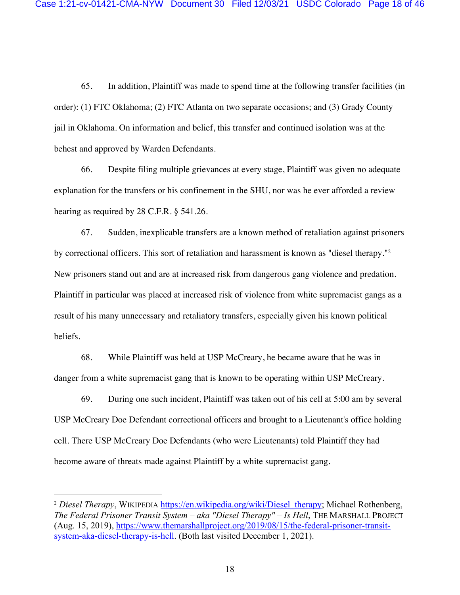65. In addition, Plaintiff was made to spend time at the following transfer facilities (in order): (1) FTC Oklahoma; (2) FTC Atlanta on two separate occasions; and (3) Grady County jail in Oklahoma. On information and belief, this transfer and continued isolation was at the behest and approved by Warden Defendants.

66. Despite filing multiple grievances at every stage, Plaintiff was given no adequate explanation for the transfers or his confinement in the SHU, nor was he ever afforded a review hearing as required by 28 C.F.R. § 541.26.

67. Sudden, inexplicable transfers are a known method of retaliation against prisoners by correctional officers. This sort of retaliation and harassment is known as "diesel therapy."<sup>2</sup> New prisoners stand out and are at increased risk from dangerous gang violence and predation. Plaintiff in particular was placed at increased risk of violence from white supremacist gangs as a result of his many unnecessary and retaliatory transfers, especially given his known political beliefs.

68. While Plaintiff was held at USP McCreary, he became aware that he was in danger from a white supremacist gang that is known to be operating within USP McCreary.

69. During one such incident, Plaintiff was taken out of his cell at 5:00 am by several USP McCreary Doe Defendant correctional officers and brought to a Lieutenant's office holding cell. There USP McCreary Doe Defendants (who were Lieutenants) told Plaintiff they had become aware of threats made against Plaintiff by a white supremacist gang.

<sup>&</sup>lt;sup>2</sup> Diesel Therapy, WIKIPEDIA https://en.wikipedia.org/wiki/Diesel\_therapy; Michael Rothenberg, *The Federal Prisoner Transit System – aka "Diesel Therapy" – Is Hell*, THE MARSHALL PROJECT (Aug. 15, 2019), https://www.themarshallproject.org/2019/08/15/the-federal-prisoner-transitsystem-aka-diesel-therapy-is-hell. (Both last visited December 1, 2021).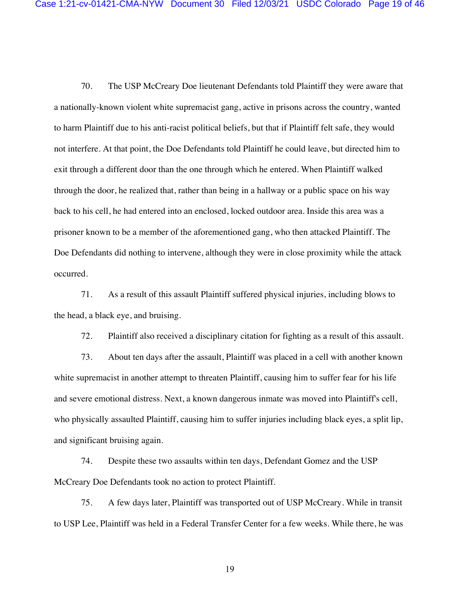70. The USP McCreary Doe lieutenant Defendants told Plaintiff they were aware that a nationally-known violent white supremacist gang, active in prisons across the country, wanted to harm Plaintiff due to his anti-racist political beliefs, but that if Plaintiff felt safe, they would not interfere. At that point, the Doe Defendants told Plaintiff he could leave, but directed him to exit through a different door than the one through which he entered. When Plaintiff walked through the door, he realized that, rather than being in a hallway or a public space on his way back to his cell, he had entered into an enclosed, locked outdoor area. Inside this area was a prisoner known to be a member of the aforementioned gang, who then attacked Plaintiff. The Doe Defendants did nothing to intervene, although they were in close proximity while the attack occurred.

71. As a result of this assault Plaintiff suffered physical injuries, including blows to the head, a black eye, and bruising.

72. Plaintiff also received a disciplinary citation for fighting as a result of this assault.

73. About ten days after the assault, Plaintiff was placed in a cell with another known white supremacist in another attempt to threaten Plaintiff, causing him to suffer fear for his life and severe emotional distress. Next, a known dangerous inmate was moved into Plaintiff's cell, who physically assaulted Plaintiff, causing him to suffer injuries including black eyes, a split lip, and significant bruising again.

74. Despite these two assaults within ten days, Defendant Gomez and the USP McCreary Doe Defendants took no action to protect Plaintiff.

75. A few days later, Plaintiff was transported out of USP McCreary. While in transit to USP Lee, Plaintiff was held in a Federal Transfer Center for a few weeks. While there, he was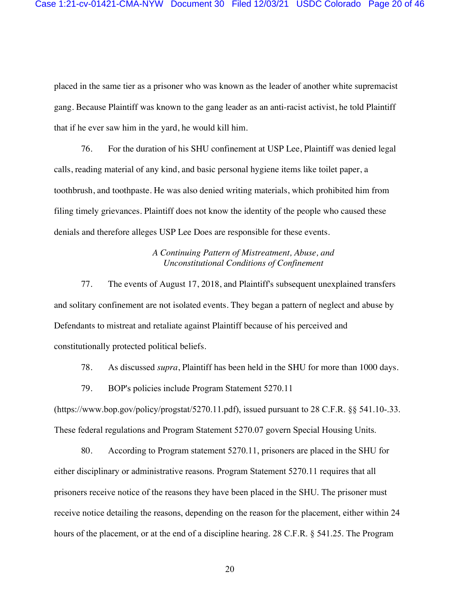placed in the same tier as a prisoner who was known as the leader of another white supremacist gang. Because Plaintiff was known to the gang leader as an anti-racist activist, he told Plaintiff that if he ever saw him in the yard, he would kill him.

76. For the duration of his SHU confinement at USP Lee, Plaintiff was denied legal calls, reading material of any kind, and basic personal hygiene items like toilet paper, a toothbrush, and toothpaste. He was also denied writing materials, which prohibited him from filing timely grievances. Plaintiff does not know the identity of the people who caused these denials and therefore alleges USP Lee Does are responsible for these events.

### *A Continuing Pattern of Mistreatment, Abuse, and Unconstitutional Conditions of Confinement*

77. The events of August 17, 2018, and Plaintiff's subsequent unexplained transfers and solitary confinement are not isolated events. They began a pattern of neglect and abuse by Defendants to mistreat and retaliate against Plaintiff because of his perceived and constitutionally protected political beliefs.

78. As discussed *supra*, Plaintiff has been held in the SHU for more than 1000 days.

79. BOP's policies include Program Statement 5270.11

(https://www.bop.gov/policy/progstat/5270.11.pdf), issued pursuant to 28 C.F.R. §§ 541.10-.33. These federal regulations and Program Statement 5270.07 govern Special Housing Units.

80. According to Program statement 5270.11, prisoners are placed in the SHU for either disciplinary or administrative reasons. Program Statement 5270.11 requires that all prisoners receive notice of the reasons they have been placed in the SHU. The prisoner must receive notice detailing the reasons, depending on the reason for the placement, either within 24 hours of the placement, or at the end of a discipline hearing. 28 C.F.R. § 541.25. The Program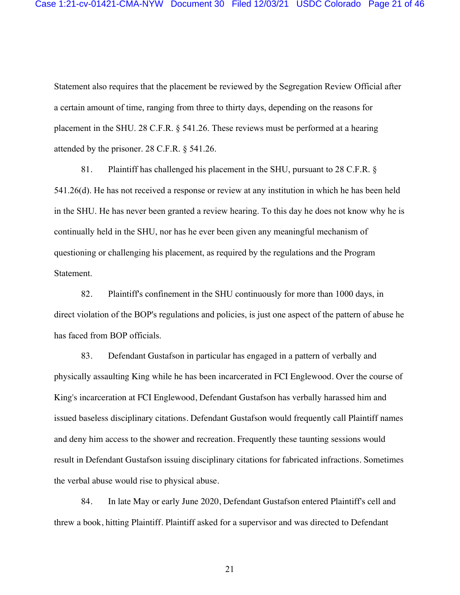Statement also requires that the placement be reviewed by the Segregation Review Official after a certain amount of time, ranging from three to thirty days, depending on the reasons for placement in the SHU. 28 C.F.R. § 541.26. These reviews must be performed at a hearing attended by the prisoner. 28 C.F.R. § 541.26.

81. Plaintiff has challenged his placement in the SHU, pursuant to 28 C.F.R. § 541.26(d). He has not received a response or review at any institution in which he has been held in the SHU. He has never been granted a review hearing. To this day he does not know why he is continually held in the SHU, nor has he ever been given any meaningful mechanism of questioning or challenging his placement, as required by the regulations and the Program Statement.

82. Plaintiff's confinement in the SHU continuously for more than 1000 days, in direct violation of the BOP's regulations and policies, is just one aspect of the pattern of abuse he has faced from BOP officials.

83. Defendant Gustafson in particular has engaged in a pattern of verbally and physically assaulting King while he has been incarcerated in FCI Englewood. Over the course of King's incarceration at FCI Englewood, Defendant Gustafson has verbally harassed him and issued baseless disciplinary citations. Defendant Gustafson would frequently call Plaintiff names and deny him access to the shower and recreation. Frequently these taunting sessions would result in Defendant Gustafson issuing disciplinary citations for fabricated infractions. Sometimes the verbal abuse would rise to physical abuse.

84. In late May or early June 2020, Defendant Gustafson entered Plaintiff's cell and threw a book, hitting Plaintiff. Plaintiff asked for a supervisor and was directed to Defendant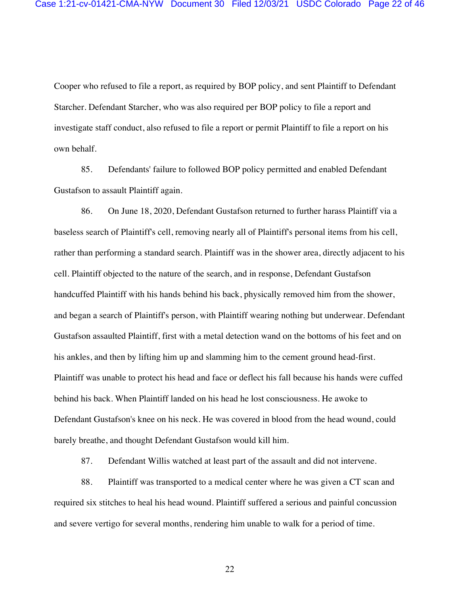Cooper who refused to file a report, as required by BOP policy, and sent Plaintiff to Defendant Starcher. Defendant Starcher, who was also required per BOP policy to file a report and investigate staff conduct, also refused to file a report or permit Plaintiff to file a report on his own behalf.

85. Defendants' failure to followed BOP policy permitted and enabled Defendant Gustafson to assault Plaintiff again.

86. On June 18, 2020, Defendant Gustafson returned to further harass Plaintiff via a baseless search of Plaintiff's cell, removing nearly all of Plaintiff's personal items from his cell, rather than performing a standard search. Plaintiff was in the shower area, directly adjacent to his cell. Plaintiff objected to the nature of the search, and in response, Defendant Gustafson handcuffed Plaintiff with his hands behind his back, physically removed him from the shower, and began a search of Plaintiff's person, with Plaintiff wearing nothing but underwear. Defendant Gustafson assaulted Plaintiff, first with a metal detection wand on the bottoms of his feet and on his ankles, and then by lifting him up and slamming him to the cement ground head-first. Plaintiff was unable to protect his head and face or deflect his fall because his hands were cuffed behind his back. When Plaintiff landed on his head he lost consciousness. He awoke to Defendant Gustafson's knee on his neck. He was covered in blood from the head wound, could barely breathe, and thought Defendant Gustafson would kill him.

87. Defendant Willis watched at least part of the assault and did not intervene.

88. Plaintiff was transported to a medical center where he was given a CT scan and required six stitches to heal his head wound. Plaintiff suffered a serious and painful concussion and severe vertigo for several months, rendering him unable to walk for a period of time.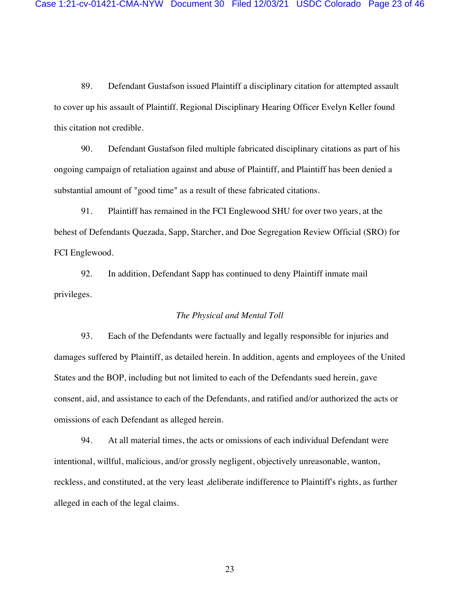89. Defendant Gustafson issued Plaintiff a disciplinary citation for attempted assault to cover up his assault of Plaintiff. Regional Disciplinary Hearing Officer Evelyn Keller found this citation not credible.

90. Defendant Gustafson filed multiple fabricated disciplinary citations as part of his ongoing campaign of retaliation against and abuse of Plaintiff, and Plaintiff has been denied a substantial amount of "good time" as a result of these fabricated citations.

91. Plaintiff has remained in the FCI Englewood SHU for over two years, at the behest of Defendants Quezada, Sapp, Starcher, and Doe Segregation Review Official (SRO) for FCI Englewood.

92. In addition, Defendant Sapp has continued to deny Plaintiff inmate mail privileges.

### *The Physical and Mental Toll*

93. Each of the Defendants were factually and legally responsible for injuries and damages suffered by Plaintiff, as detailed herein. In addition, agents and employees of the United States and the BOP, including but not limited to each of the Defendants sued herein, gave consent, aid, and assistance to each of the Defendants, and ratified and/or authorized the acts or omissions of each Defendant as alleged herein.

94. At all material times, the acts or omissions of each individual Defendant were intentional, willful, malicious, and/or grossly negligent, objectively unreasonable, wanton, reckless, and constituted, at the very least ,deliberate indifference to Plaintiff's rights, as further alleged in each of the legal claims.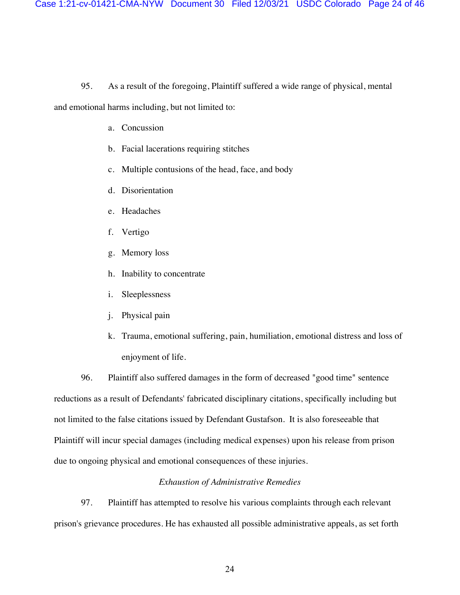### 95. As a result of the foregoing, Plaintiff suffered a wide range of physical, mental

and emotional harms including, but not limited to:

- a. Concussion
- b. Facial lacerations requiring stitches
- c. Multiple contusions of the head, face, and body
- d. Disorientation
- e. Headaches
- f. Vertigo
- g. Memory loss
- h. Inability to concentrate
- i. Sleeplessness
- j. Physical pain
- k. Trauma, emotional suffering, pain, humiliation, emotional distress and loss of enjoyment of life.

96. Plaintiff also suffered damages in the form of decreased "good time" sentence reductions as a result of Defendants' fabricated disciplinary citations, specifically including but not limited to the false citations issued by Defendant Gustafson. It is also foreseeable that Plaintiff will incur special damages (including medical expenses) upon his release from prison due to ongoing physical and emotional consequences of these injuries.

#### *Exhaustion of Administrative Remedies*

97. Plaintiff has attempted to resolve his various complaints through each relevant prison's grievance procedures. He has exhausted all possible administrative appeals, as set forth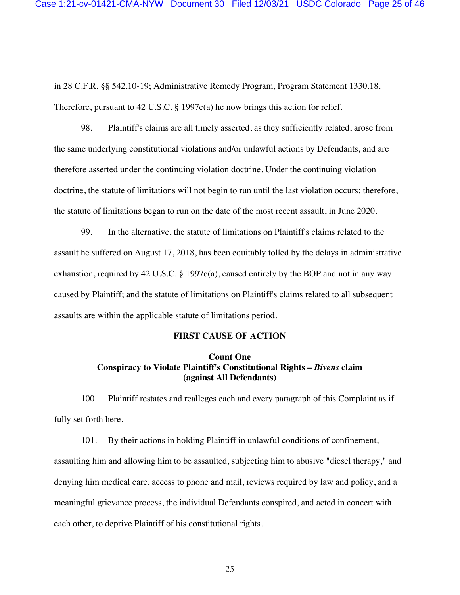in 28 C.F.R. §§ 542.10-19; Administrative Remedy Program, Program Statement 1330.18. Therefore, pursuant to 42 U.S.C. § 1997e(a) he now brings this action for relief.

98. Plaintiff's claims are all timely asserted, as they sufficiently related, arose from the same underlying constitutional violations and/or unlawful actions by Defendants, and are therefore asserted under the continuing violation doctrine. Under the continuing violation doctrine, the statute of limitations will not begin to run until the last violation occurs; therefore, the statute of limitations began to run on the date of the most recent assault, in June 2020.

99. In the alternative, the statute of limitations on Plaintiff's claims related to the assault he suffered on August 17, 2018, has been equitably tolled by the delays in administrative exhaustion, required by 42 U.S.C. § 1997e(a), caused entirely by the BOP and not in any way caused by Plaintiff; and the statute of limitations on Plaintiff's claims related to all subsequent assaults are within the applicable statute of limitations period.

#### **FIRST CAUSE OF ACTION**

## **Count One Conspiracy to Violate Plaintiff's Constitutional Rights –** *Bivens* **claim (against All Defendants)**

100. Plaintiff restates and realleges each and every paragraph of this Complaint as if fully set forth here.

101. By their actions in holding Plaintiff in unlawful conditions of confinement, assaulting him and allowing him to be assaulted, subjecting him to abusive "diesel therapy," and denying him medical care, access to phone and mail, reviews required by law and policy, and a meaningful grievance process, the individual Defendants conspired, and acted in concert with each other, to deprive Plaintiff of his constitutional rights.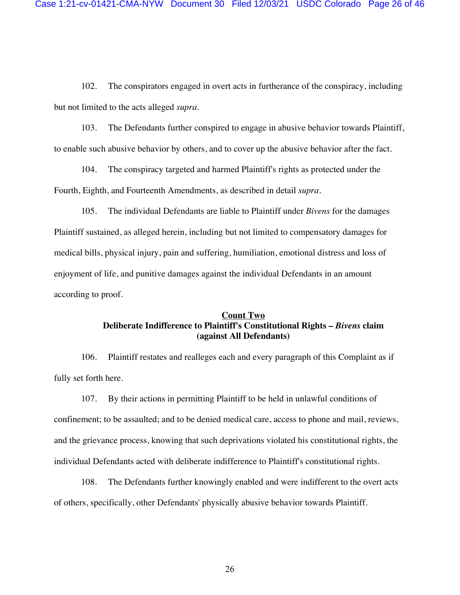102. The conspirators engaged in overt acts in furtherance of the conspiracy, including but not limited to the acts alleged *supra*.

103. The Defendants further conspired to engage in abusive behavior towards Plaintiff, to enable such abusive behavior by others, and to cover up the abusive behavior after the fact.

104. The conspiracy targeted and harmed Plaintiff's rights as protected under the Fourth, Eighth, and Fourteenth Amendments, as described in detail *supra*.

105. The individual Defendants are liable to Plaintiff under *Bivens* for the damages Plaintiff sustained, as alleged herein, including but not limited to compensatory damages for medical bills, physical injury, pain and suffering, humiliation, emotional distress and loss of enjoyment of life, and punitive damages against the individual Defendants in an amount according to proof.

# **Count Two Deliberate Indifference to Plaintiff's Constitutional Rights –** *Bivens* **claim (against All Defendants)**

106. Plaintiff restates and realleges each and every paragraph of this Complaint as if fully set forth here.

107. By their actions in permitting Plaintiff to be held in unlawful conditions of confinement; to be assaulted; and to be denied medical care, access to phone and mail, reviews, and the grievance process, knowing that such deprivations violated his constitutional rights, the individual Defendants acted with deliberate indifference to Plaintiff's constitutional rights.

108. The Defendants further knowingly enabled and were indifferent to the overt acts of others, specifically, other Defendants' physically abusive behavior towards Plaintiff.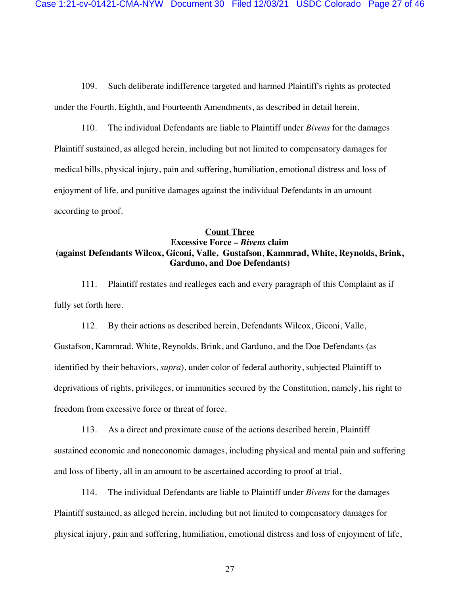109. Such deliberate indifference targeted and harmed Plaintiff's rights as protected under the Fourth, Eighth, and Fourteenth Amendments, as described in detail herein.

110. The individual Defendants are liable to Plaintiff under *Bivens* for the damages Plaintiff sustained, as alleged herein, including but not limited to compensatory damages for medical bills, physical injury, pain and suffering, humiliation, emotional distress and loss of enjoyment of life, and punitive damages against the individual Defendants in an amount according to proof.

# **Count Three Excessive Force –** *Bivens* **claim (against Defendants Wilcox, Giconi, Valle, Gustafson**, **Kammrad, White, Reynolds, Brink, Garduno, and Doe Defendants)**

111. Plaintiff restates and realleges each and every paragraph of this Complaint as if fully set forth here.

112. By their actions as described herein, Defendants Wilcox, Giconi, Valle, Gustafson, Kammrad, White, Reynolds, Brink, and Garduno, and the Doe Defendants (as identified by their behaviors, *supra*), under color of federal authority, subjected Plaintiff to deprivations of rights, privileges, or immunities secured by the Constitution, namely, his right to freedom from excessive force or threat of force.

113. As a direct and proximate cause of the actions described herein, Plaintiff sustained economic and noneconomic damages, including physical and mental pain and suffering and loss of liberty, all in an amount to be ascertained according to proof at trial.

114. The individual Defendants are liable to Plaintiff under *Bivens* for the damages Plaintiff sustained, as alleged herein, including but not limited to compensatory damages for physical injury, pain and suffering, humiliation, emotional distress and loss of enjoyment of life,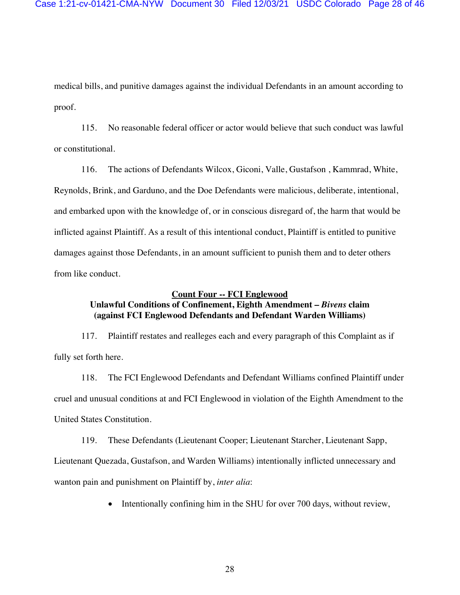medical bills, and punitive damages against the individual Defendants in an amount according to proof.

115. No reasonable federal officer or actor would believe that such conduct was lawful or constitutional.

116. The actions of Defendants Wilcox, Giconi, Valle, Gustafson , Kammrad, White, Reynolds, Brink, and Garduno, and the Doe Defendants were malicious, deliberate, intentional, and embarked upon with the knowledge of, or in conscious disregard of, the harm that would be inflicted against Plaintiff. As a result of this intentional conduct, Plaintiff is entitled to punitive damages against those Defendants, in an amount sufficient to punish them and to deter others from like conduct.

#### **Count Four -- FCI Englewood**

# **Unlawful Conditions of Confinement, Eighth Amendment –** *Bivens* **claim (against FCI Englewood Defendants and Defendant Warden Williams)**

117. Plaintiff restates and realleges each and every paragraph of this Complaint as if fully set forth here.

118. The FCI Englewood Defendants and Defendant Williams confined Plaintiff under cruel and unusual conditions at and FCI Englewood in violation of the Eighth Amendment to the United States Constitution.

119. These Defendants (Lieutenant Cooper; Lieutenant Starcher, Lieutenant Sapp, Lieutenant Quezada, Gustafson, and Warden Williams) intentionally inflicted unnecessary and wanton pain and punishment on Plaintiff by, *inter alia*:

• Intentionally confining him in the SHU for over 700 days, without review,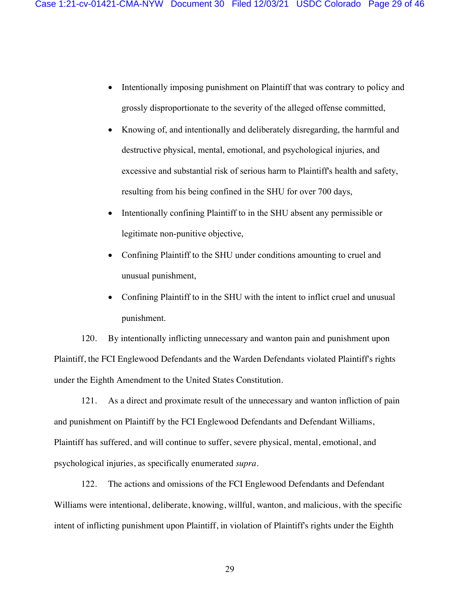- Intentionally imposing punishment on Plaintiff that was contrary to policy and grossly disproportionate to the severity of the alleged offense committed,
- Knowing of, and intentionally and deliberately disregarding, the harmful and destructive physical, mental, emotional, and psychological injuries, and excessive and substantial risk of serious harm to Plaintiff's health and safety, resulting from his being confined in the SHU for over 700 days,
- Intentionally confining Plaintiff to in the SHU absent any permissible or legitimate non-punitive objective,
- Confining Plaintiff to the SHU under conditions amounting to cruel and unusual punishment,
- Confining Plaintiff to in the SHU with the intent to inflict cruel and unusual punishment.

120. By intentionally inflicting unnecessary and wanton pain and punishment upon Plaintiff, the FCI Englewood Defendants and the Warden Defendants violated Plaintiff's rights under the Eighth Amendment to the United States Constitution.

121. As a direct and proximate result of the unnecessary and wanton infliction of pain and punishment on Plaintiff by the FCI Englewood Defendants and Defendant Williams, Plaintiff has suffered, and will continue to suffer, severe physical, mental, emotional, and psychological injuries, as specifically enumerated *supra*.

122. The actions and omissions of the FCI Englewood Defendants and Defendant Williams were intentional, deliberate, knowing, willful, wanton, and malicious, with the specific intent of inflicting punishment upon Plaintiff, in violation of Plaintiff's rights under the Eighth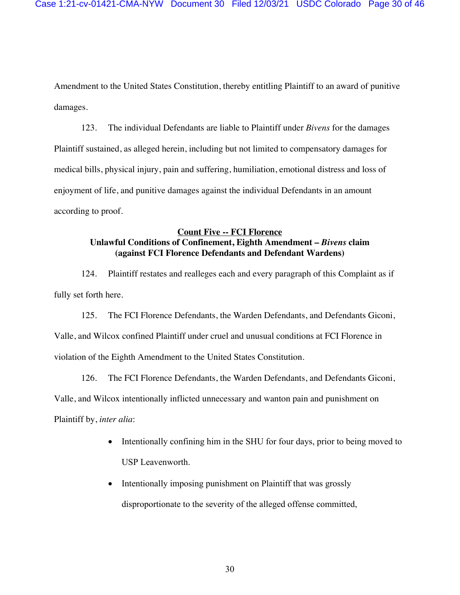Amendment to the United States Constitution, thereby entitling Plaintiff to an award of punitive damages.

123. The individual Defendants are liable to Plaintiff under *Bivens* for the damages Plaintiff sustained, as alleged herein, including but not limited to compensatory damages for medical bills, physical injury, pain and suffering, humiliation, emotional distress and loss of enjoyment of life, and punitive damages against the individual Defendants in an amount according to proof.

# **Count Five -- FCI Florence Unlawful Conditions of Confinement, Eighth Amendment –** *Bivens* **claim (against FCI Florence Defendants and Defendant Wardens)**

124. Plaintiff restates and realleges each and every paragraph of this Complaint as if fully set forth here.

125. The FCI Florence Defendants, the Warden Defendants, and Defendants Giconi, Valle, and Wilcox confined Plaintiff under cruel and unusual conditions at FCI Florence in violation of the Eighth Amendment to the United States Constitution.

126. The FCI Florence Defendants, the Warden Defendants, and Defendants Giconi, Valle, and Wilcox intentionally inflicted unnecessary and wanton pain and punishment on Plaintiff by, *inter alia*:

- Intentionally confining him in the SHU for four days, prior to being moved to USP Leavenworth.
- Intentionally imposing punishment on Plaintiff that was grossly disproportionate to the severity of the alleged offense committed,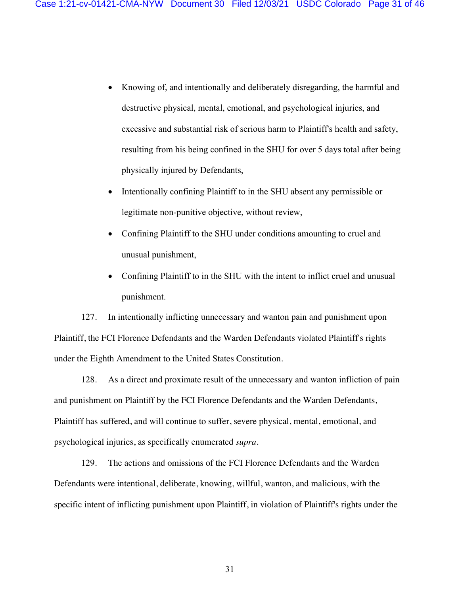- Knowing of, and intentionally and deliberately disregarding, the harmful and destructive physical, mental, emotional, and psychological injuries, and excessive and substantial risk of serious harm to Plaintiff's health and safety, resulting from his being confined in the SHU for over 5 days total after being physically injured by Defendants,
- Intentionally confining Plaintiff to in the SHU absent any permissible or legitimate non-punitive objective, without review,
- Confining Plaintiff to the SHU under conditions amounting to cruel and unusual punishment,
- Confining Plaintiff to in the SHU with the intent to inflict cruel and unusual punishment.

127. In intentionally inflicting unnecessary and wanton pain and punishment upon Plaintiff, the FCI Florence Defendants and the Warden Defendants violated Plaintiff's rights under the Eighth Amendment to the United States Constitution.

128. As a direct and proximate result of the unnecessary and wanton infliction of pain and punishment on Plaintiff by the FCI Florence Defendants and the Warden Defendants, Plaintiff has suffered, and will continue to suffer, severe physical, mental, emotional, and psychological injuries, as specifically enumerated *supra*.

129. The actions and omissions of the FCI Florence Defendants and the Warden Defendants were intentional, deliberate, knowing, willful, wanton, and malicious, with the specific intent of inflicting punishment upon Plaintiff, in violation of Plaintiff's rights under the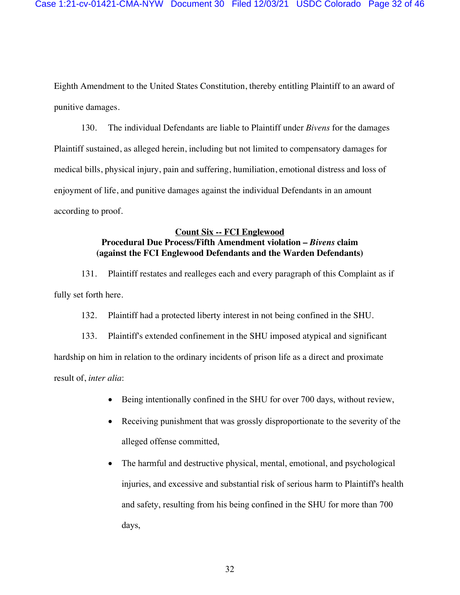Eighth Amendment to the United States Constitution, thereby entitling Plaintiff to an award of punitive damages.

130. The individual Defendants are liable to Plaintiff under *Bivens* for the damages Plaintiff sustained, as alleged herein, including but not limited to compensatory damages for medical bills, physical injury, pain and suffering, humiliation, emotional distress and loss of enjoyment of life, and punitive damages against the individual Defendants in an amount according to proof.

# **Count Six -- FCI Englewood Procedural Due Process/Fifth Amendment violation –** *Bivens* **claim (against the FCI Englewood Defendants and the Warden Defendants)**

131. Plaintiff restates and realleges each and every paragraph of this Complaint as if fully set forth here.

132. Plaintiff had a protected liberty interest in not being confined in the SHU.

133. Plaintiff's extended confinement in the SHU imposed atypical and significant hardship on him in relation to the ordinary incidents of prison life as a direct and proximate result of, *inter alia*:

- Being intentionally confined in the SHU for over 700 days, without review,
- Receiving punishment that was grossly disproportionate to the severity of the alleged offense committed,
- The harmful and destructive physical, mental, emotional, and psychological injuries, and excessive and substantial risk of serious harm to Plaintiff's health and safety, resulting from his being confined in the SHU for more than 700 days,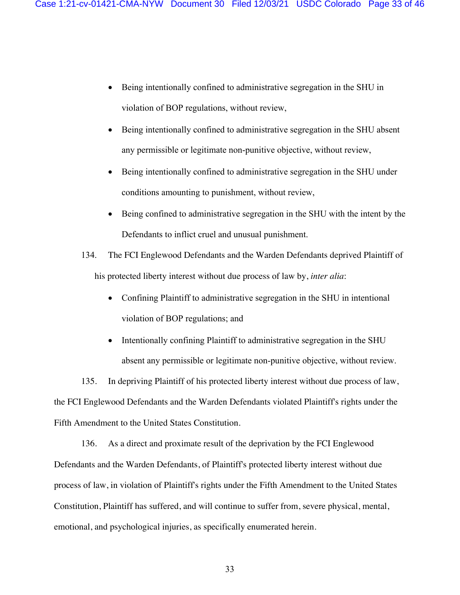- Being intentionally confined to administrative segregation in the SHU in violation of BOP regulations, without review,
- Being intentionally confined to administrative segregation in the SHU absent any permissible or legitimate non-punitive objective, without review,
- Being intentionally confined to administrative segregation in the SHU under conditions amounting to punishment, without review,
- Being confined to administrative segregation in the SHU with the intent by the Defendants to inflict cruel and unusual punishment.

134. The FCI Englewood Defendants and the Warden Defendants deprived Plaintiff of his protected liberty interest without due process of law by, *inter alia*:

- Confining Plaintiff to administrative segregation in the SHU in intentional violation of BOP regulations; and
- Intentionally confining Plaintiff to administrative segregation in the SHU absent any permissible or legitimate non-punitive objective, without review.

135. In depriving Plaintiff of his protected liberty interest without due process of law, the FCI Englewood Defendants and the Warden Defendants violated Plaintiff's rights under the Fifth Amendment to the United States Constitution.

136. As a direct and proximate result of the deprivation by the FCI Englewood Defendants and the Warden Defendants, of Plaintiff's protected liberty interest without due process of law, in violation of Plaintiff's rights under the Fifth Amendment to the United States Constitution, Plaintiff has suffered, and will continue to suffer from, severe physical, mental, emotional, and psychological injuries, as specifically enumerated herein.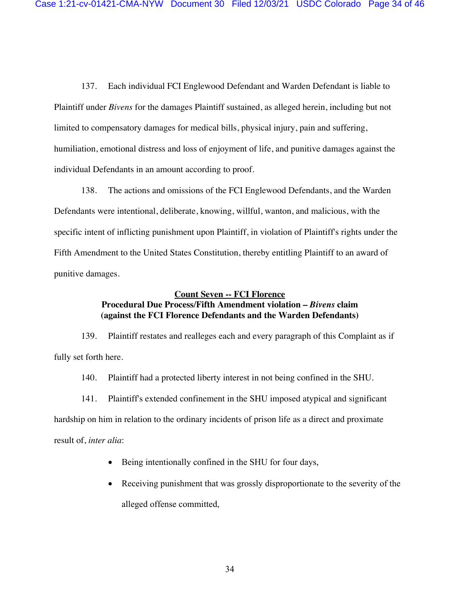137. Each individual FCI Englewood Defendant and Warden Defendant is liable to Plaintiff under *Bivens* for the damages Plaintiff sustained, as alleged herein, including but not limited to compensatory damages for medical bills, physical injury, pain and suffering, humiliation, emotional distress and loss of enjoyment of life, and punitive damages against the individual Defendants in an amount according to proof.

138. The actions and omissions of the FCI Englewood Defendants, and the Warden Defendants were intentional, deliberate, knowing, willful, wanton, and malicious, with the specific intent of inflicting punishment upon Plaintiff, in violation of Plaintiff's rights under the Fifth Amendment to the United States Constitution, thereby entitling Plaintiff to an award of punitive damages.

### **Count Seven -- FCI Florence**

# **Procedural Due Process/Fifth Amendment violation –** *Bivens* **claim (against the FCI Florence Defendants and the Warden Defendants)**

139. Plaintiff restates and realleges each and every paragraph of this Complaint as if fully set forth here.

140. Plaintiff had a protected liberty interest in not being confined in the SHU.

141. Plaintiff's extended confinement in the SHU imposed atypical and significant hardship on him in relation to the ordinary incidents of prison life as a direct and proximate result of, *inter alia*:

- Being intentionally confined in the SHU for four days,
- Receiving punishment that was grossly disproportionate to the severity of the alleged offense committed,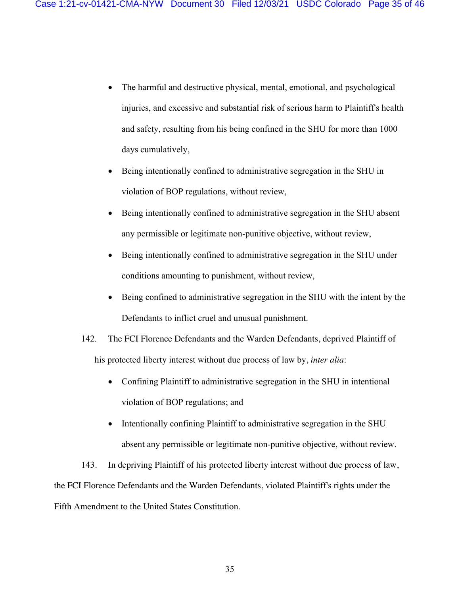- The harmful and destructive physical, mental, emotional, and psychological injuries, and excessive and substantial risk of serious harm to Plaintiff's health and safety, resulting from his being confined in the SHU for more than 1000 days cumulatively,
- Being intentionally confined to administrative segregation in the SHU in violation of BOP regulations, without review,
- Being intentionally confined to administrative segregation in the SHU absent any permissible or legitimate non-punitive objective, without review,
- Being intentionally confined to administrative segregation in the SHU under conditions amounting to punishment, without review,
- Being confined to administrative segregation in the SHU with the intent by the Defendants to inflict cruel and unusual punishment.
- 142. The FCI Florence Defendants and the Warden Defendants, deprived Plaintiff of his protected liberty interest without due process of law by, *inter alia*:
	- Confining Plaintiff to administrative segregation in the SHU in intentional violation of BOP regulations; and
	- Intentionally confining Plaintiff to administrative segregation in the SHU absent any permissible or legitimate non-punitive objective, without review.

143. In depriving Plaintiff of his protected liberty interest without due process of law, the FCI Florence Defendants and the Warden Defendants, violated Plaintiff's rights under the Fifth Amendment to the United States Constitution.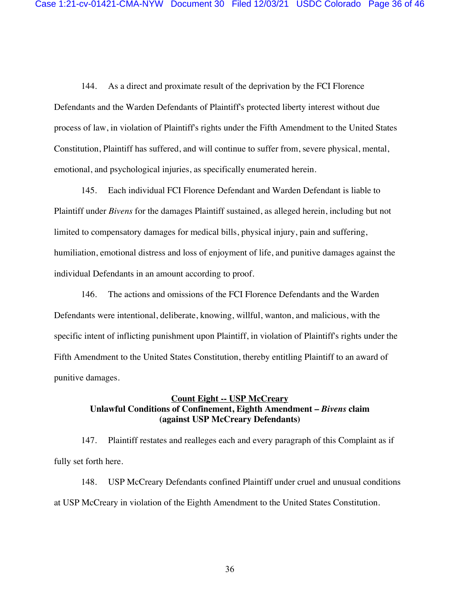144. As a direct and proximate result of the deprivation by the FCI Florence Defendants and the Warden Defendants of Plaintiff's protected liberty interest without due process of law, in violation of Plaintiff's rights under the Fifth Amendment to the United States Constitution, Plaintiff has suffered, and will continue to suffer from, severe physical, mental, emotional, and psychological injuries, as specifically enumerated herein.

145. Each individual FCI Florence Defendant and Warden Defendant is liable to Plaintiff under *Bivens* for the damages Plaintiff sustained, as alleged herein, including but not limited to compensatory damages for medical bills, physical injury, pain and suffering, humiliation, emotional distress and loss of enjoyment of life, and punitive damages against the individual Defendants in an amount according to proof.

146. The actions and omissions of the FCI Florence Defendants and the Warden Defendants were intentional, deliberate, knowing, willful, wanton, and malicious, with the specific intent of inflicting punishment upon Plaintiff, in violation of Plaintiff's rights under the Fifth Amendment to the United States Constitution, thereby entitling Plaintiff to an award of punitive damages.

### **Count Eight -- USP McCreary Unlawful Conditions of Confinement, Eighth Amendment –** *Bivens* **claim (against USP McCreary Defendants)**

147. Plaintiff restates and realleges each and every paragraph of this Complaint as if fully set forth here.

148. USP McCreary Defendants confined Plaintiff under cruel and unusual conditions at USP McCreary in violation of the Eighth Amendment to the United States Constitution.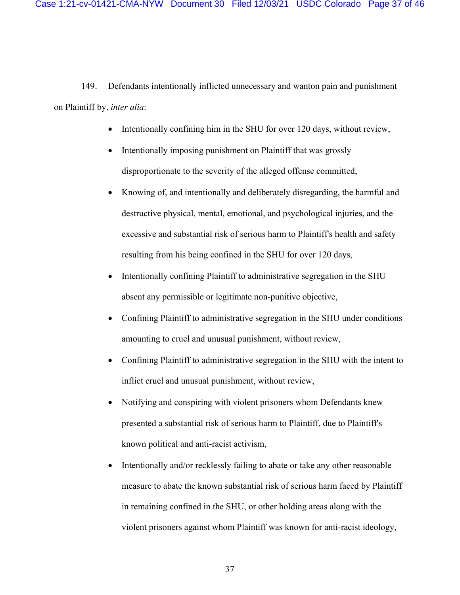149. Defendants intentionally inflicted unnecessary and wanton pain and punishment on Plaintiff by, *inter alia*:

- Intentionally confining him in the SHU for over 120 days, without review,
- Intentionally imposing punishment on Plaintiff that was grossly disproportionate to the severity of the alleged offense committed,
- Knowing of, and intentionally and deliberately disregarding, the harmful and destructive physical, mental, emotional, and psychological injuries, and the excessive and substantial risk of serious harm to Plaintiff's health and safety resulting from his being confined in the SHU for over 120 days,
- Intentionally confining Plaintiff to administrative segregation in the SHU absent any permissible or legitimate non-punitive objective,
- Confining Plaintiff to administrative segregation in the SHU under conditions amounting to cruel and unusual punishment, without review,
- Confining Plaintiff to administrative segregation in the SHU with the intent to inflict cruel and unusual punishment, without review,
- Notifying and conspiring with violent prisoners whom Defendants knew presented a substantial risk of serious harm to Plaintiff, due to Plaintiff's known political and anti-racist activism,
- Intentionally and/or recklessly failing to abate or take any other reasonable measure to abate the known substantial risk of serious harm faced by Plaintiff in remaining confined in the SHU, or other holding areas along with the violent prisoners against whom Plaintiff was known for anti-racist ideology,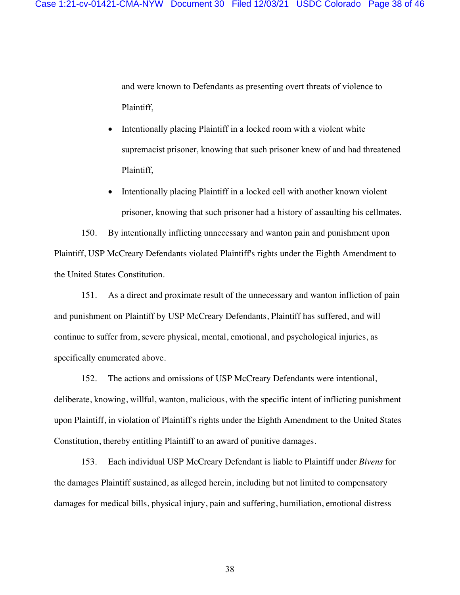and were known to Defendants as presenting overt threats of violence to Plaintiff,

- Intentionally placing Plaintiff in a locked room with a violent white supremacist prisoner, knowing that such prisoner knew of and had threatened Plaintiff,
- Intentionally placing Plaintiff in a locked cell with another known violent prisoner, knowing that such prisoner had a history of assaulting his cellmates.

150. By intentionally inflicting unnecessary and wanton pain and punishment upon Plaintiff, USP McCreary Defendants violated Plaintiff's rights under the Eighth Amendment to the United States Constitution.

151. As a direct and proximate result of the unnecessary and wanton infliction of pain and punishment on Plaintiff by USP McCreary Defendants, Plaintiff has suffered, and will continue to suffer from, severe physical, mental, emotional, and psychological injuries, as specifically enumerated above.

152. The actions and omissions of USP McCreary Defendants were intentional, deliberate, knowing, willful, wanton, malicious, with the specific intent of inflicting punishment upon Plaintiff, in violation of Plaintiff's rights under the Eighth Amendment to the United States Constitution, thereby entitling Plaintiff to an award of punitive damages.

153. Each individual USP McCreary Defendant is liable to Plaintiff under *Bivens* for the damages Plaintiff sustained, as alleged herein, including but not limited to compensatory damages for medical bills, physical injury, pain and suffering, humiliation, emotional distress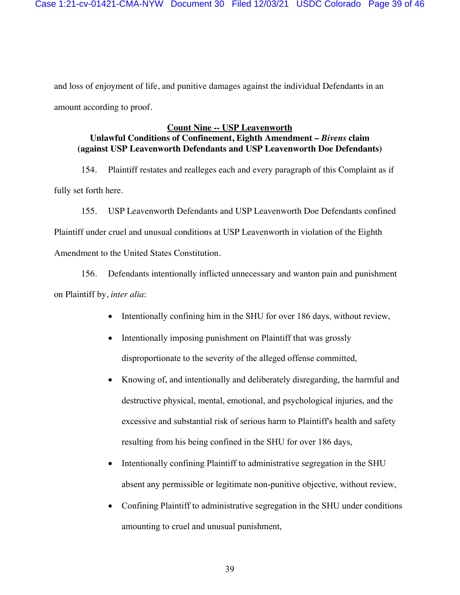and loss of enjoyment of life, and punitive damages against the individual Defendants in an amount according to proof.

# **Count Nine -- USP Leavenworth Unlawful Conditions of Confinement, Eighth Amendment –** *Bivens* **claim (against USP Leavenworth Defendants and USP Leavenworth Doe Defendants)**

154. Plaintiff restates and realleges each and every paragraph of this Complaint as if fully set forth here.

155. USP Leavenworth Defendants and USP Leavenworth Doe Defendants confined Plaintiff under cruel and unusual conditions at USP Leavenworth in violation of the Eighth Amendment to the United States Constitution.

156. Defendants intentionally inflicted unnecessary and wanton pain and punishment on Plaintiff by, *inter alia*:

- Intentionally confining him in the SHU for over 186 days, without review,
- Intentionally imposing punishment on Plaintiff that was grossly disproportionate to the severity of the alleged offense committed,
- Knowing of, and intentionally and deliberately disregarding, the harmful and destructive physical, mental, emotional, and psychological injuries, and the excessive and substantial risk of serious harm to Plaintiff's health and safety resulting from his being confined in the SHU for over 186 days,
- Intentionally confining Plaintiff to administrative segregation in the SHU absent any permissible or legitimate non-punitive objective, without review,
- Confining Plaintiff to administrative segregation in the SHU under conditions amounting to cruel and unusual punishment,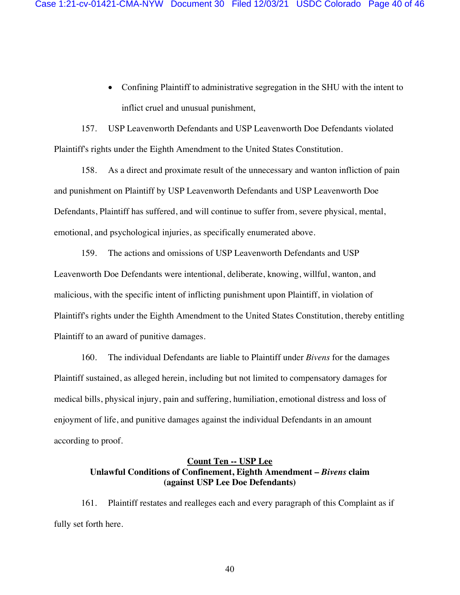• Confining Plaintiff to administrative segregation in the SHU with the intent to inflict cruel and unusual punishment,

157. USP Leavenworth Defendants and USP Leavenworth Doe Defendants violated Plaintiff's rights under the Eighth Amendment to the United States Constitution.

158. As a direct and proximate result of the unnecessary and wanton infliction of pain and punishment on Plaintiff by USP Leavenworth Defendants and USP Leavenworth Doe Defendants, Plaintiff has suffered, and will continue to suffer from, severe physical, mental, emotional, and psychological injuries, as specifically enumerated above.

159. The actions and omissions of USP Leavenworth Defendants and USP Leavenworth Doe Defendants were intentional, deliberate, knowing, willful, wanton, and malicious, with the specific intent of inflicting punishment upon Plaintiff, in violation of Plaintiff's rights under the Eighth Amendment to the United States Constitution, thereby entitling Plaintiff to an award of punitive damages.

160. The individual Defendants are liable to Plaintiff under *Bivens* for the damages Plaintiff sustained, as alleged herein, including but not limited to compensatory damages for medical bills, physical injury, pain and suffering, humiliation, emotional distress and loss of enjoyment of life, and punitive damages against the individual Defendants in an amount according to proof.

# **Count Ten -- USP Lee Unlawful Conditions of Confinement, Eighth Amendment –** *Bivens* **claim (against USP Lee Doe Defendants)**

161. Plaintiff restates and realleges each and every paragraph of this Complaint as if fully set forth here.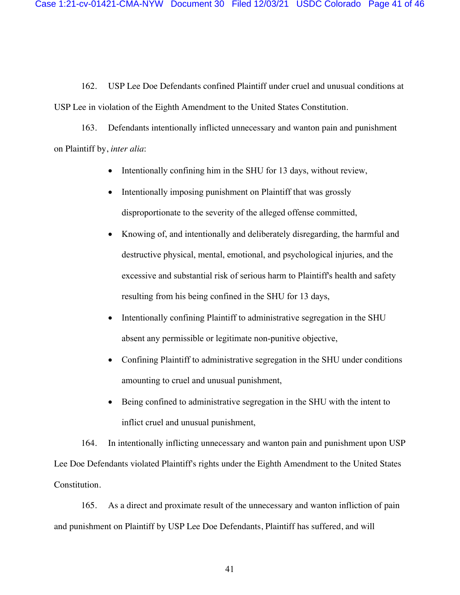162. USP Lee Doe Defendants confined Plaintiff under cruel and unusual conditions at USP Lee in violation of the Eighth Amendment to the United States Constitution.

163. Defendants intentionally inflicted unnecessary and wanton pain and punishment on Plaintiff by, *inter alia*:

- Intentionally confining him in the SHU for 13 days, without review,
- Intentionally imposing punishment on Plaintiff that was grossly disproportionate to the severity of the alleged offense committed,
- Knowing of, and intentionally and deliberately disregarding, the harmful and destructive physical, mental, emotional, and psychological injuries, and the excessive and substantial risk of serious harm to Plaintiff's health and safety resulting from his being confined in the SHU for 13 days,
- Intentionally confining Plaintiff to administrative segregation in the SHU absent any permissible or legitimate non-punitive objective,
- Confining Plaintiff to administrative segregation in the SHU under conditions amounting to cruel and unusual punishment,
- Being confined to administrative segregation in the SHU with the intent to inflict cruel and unusual punishment,

164. In intentionally inflicting unnecessary and wanton pain and punishment upon USP Lee Doe Defendants violated Plaintiff's rights under the Eighth Amendment to the United States Constitution.

165. As a direct and proximate result of the unnecessary and wanton infliction of pain and punishment on Plaintiff by USP Lee Doe Defendants, Plaintiff has suffered, and will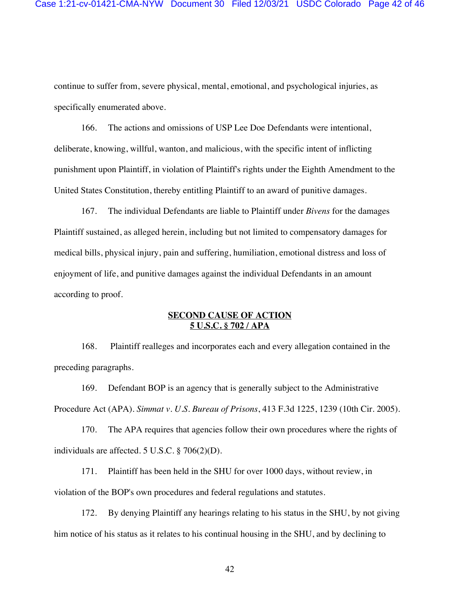continue to suffer from, severe physical, mental, emotional, and psychological injuries, as specifically enumerated above.

166. The actions and omissions of USP Lee Doe Defendants were intentional, deliberate, knowing, willful, wanton, and malicious, with the specific intent of inflicting punishment upon Plaintiff, in violation of Plaintiff's rights under the Eighth Amendment to the United States Constitution, thereby entitling Plaintiff to an award of punitive damages.

167. The individual Defendants are liable to Plaintiff under *Bivens* for the damages Plaintiff sustained, as alleged herein, including but not limited to compensatory damages for medical bills, physical injury, pain and suffering, humiliation, emotional distress and loss of enjoyment of life, and punitive damages against the individual Defendants in an amount according to proof.

### **SECOND CAUSE OF ACTION 5 U.S.C. § 702 / APA**

168. Plaintiff realleges and incorporates each and every allegation contained in the preceding paragraphs.

169. Defendant BOP is an agency that is generally subject to the Administrative Procedure Act (APA). *Simmat v. U.S. Bureau of Prisons*, 413 F.3d 1225, 1239 (10th Cir. 2005).

170. The APA requires that agencies follow their own procedures where the rights of individuals are affected. 5 U.S.C. § 706(2)(D).

171. Plaintiff has been held in the SHU for over 1000 days, without review, in violation of the BOP's own procedures and federal regulations and statutes.

172. By denying Plaintiff any hearings relating to his status in the SHU, by not giving him notice of his status as it relates to his continual housing in the SHU, and by declining to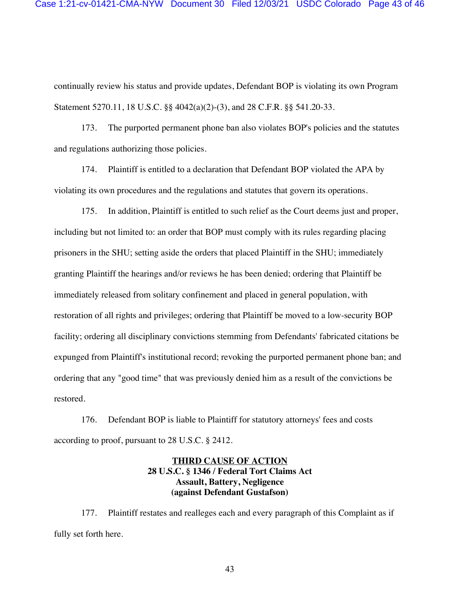continually review his status and provide updates, Defendant BOP is violating its own Program Statement 5270.11, 18 U.S.C. §§ 4042(a)(2)-(3), and 28 C.F.R. §§ 541.20-33.

173. The purported permanent phone ban also violates BOP's policies and the statutes and regulations authorizing those policies.

174. Plaintiff is entitled to a declaration that Defendant BOP violated the APA by violating its own procedures and the regulations and statutes that govern its operations.

175. In addition, Plaintiff is entitled to such relief as the Court deems just and proper, including but not limited to: an order that BOP must comply with its rules regarding placing prisoners in the SHU; setting aside the orders that placed Plaintiff in the SHU; immediately granting Plaintiff the hearings and/or reviews he has been denied; ordering that Plaintiff be immediately released from solitary confinement and placed in general population, with restoration of all rights and privileges; ordering that Plaintiff be moved to a low-security BOP facility; ordering all disciplinary convictions stemming from Defendants' fabricated citations be expunged from Plaintiff's institutional record; revoking the purported permanent phone ban; and ordering that any "good time" that was previously denied him as a result of the convictions be restored.

176. Defendant BOP is liable to Plaintiff for statutory attorneys' fees and costs according to proof, pursuant to 28 U.S.C. § 2412.

# **THIRD CAUSE OF ACTION 28 U.S.C. § 1346 / Federal Tort Claims Act Assault, Battery, Negligence (against Defendant Gustafson)**

177. Plaintiff restates and realleges each and every paragraph of this Complaint as if fully set forth here.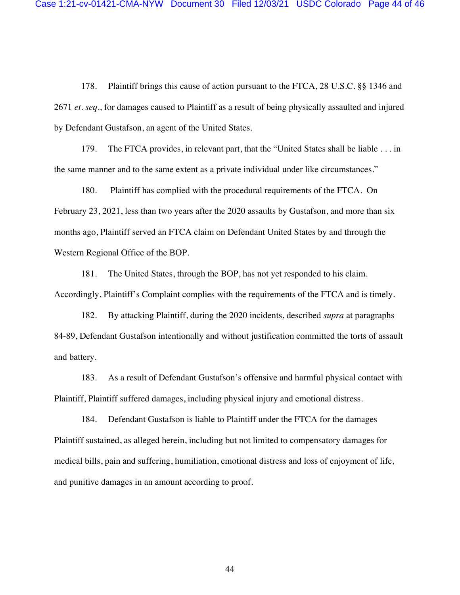178. Plaintiff brings this cause of action pursuant to the FTCA, 28 U.S.C. §§ 1346 and 2671 *et. seq*., for damages caused to Plaintiff as a result of being physically assaulted and injured by Defendant Gustafson, an agent of the United States.

179. The FTCA provides, in relevant part, that the "United States shall be liable . . . in the same manner and to the same extent as a private individual under like circumstances."

180. Plaintiff has complied with the procedural requirements of the FTCA. On February 23, 2021, less than two years after the 2020 assaults by Gustafson, and more than six months ago, Plaintiff served an FTCA claim on Defendant United States by and through the Western Regional Office of the BOP.

181. The United States, through the BOP, has not yet responded to his claim. Accordingly, Plaintiff's Complaint complies with the requirements of the FTCA and is timely.

182. By attacking Plaintiff, during the 2020 incidents, described *supra* at paragraphs 84-89, Defendant Gustafson intentionally and without justification committed the torts of assault and battery.

183. As a result of Defendant Gustafson's offensive and harmful physical contact with Plaintiff, Plaintiff suffered damages, including physical injury and emotional distress.

184. Defendant Gustafson is liable to Plaintiff under the FTCA for the damages Plaintiff sustained, as alleged herein, including but not limited to compensatory damages for medical bills, pain and suffering, humiliation, emotional distress and loss of enjoyment of life, and punitive damages in an amount according to proof.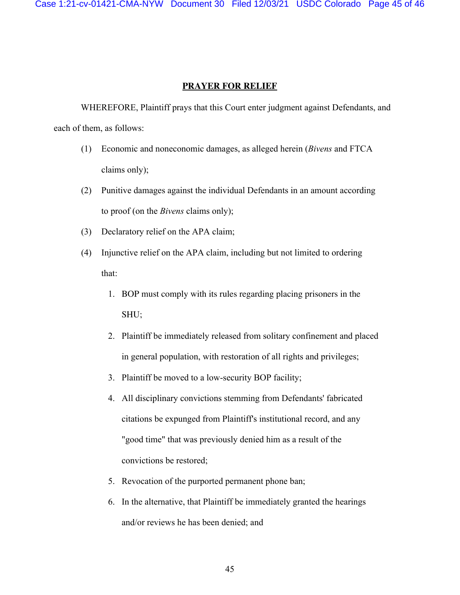Case 1:21-cv-01421-CMA-NYW Document 30 Filed 12/03/21 USDC Colorado Page 45 of 46

### **PRAYER FOR RELIEF**

WHEREFORE, Plaintiff prays that this Court enter judgment against Defendants, and each of them, as follows:

- (1) Economic and noneconomic damages, as alleged herein (*Bivens* and FTCA claims only);
- (2) Punitive damages against the individual Defendants in an amount according to proof (on the *Bivens* claims only);
- (3) Declaratory relief on the APA claim;
- (4) Injunctive relief on the APA claim, including but not limited to ordering that:
	- 1. BOP must comply with its rules regarding placing prisoners in the SHU;
	- 2. Plaintiff be immediately released from solitary confinement and placed in general population, with restoration of all rights and privileges;
	- 3. Plaintiff be moved to a low-security BOP facility;
	- 4. All disciplinary convictions stemming from Defendants' fabricated citations be expunged from Plaintiff's institutional record, and any "good time" that was previously denied him as a result of the convictions be restored;
	- 5. Revocation of the purported permanent phone ban;
	- 6. In the alternative, that Plaintiff be immediately granted the hearings and/or reviews he has been denied; and